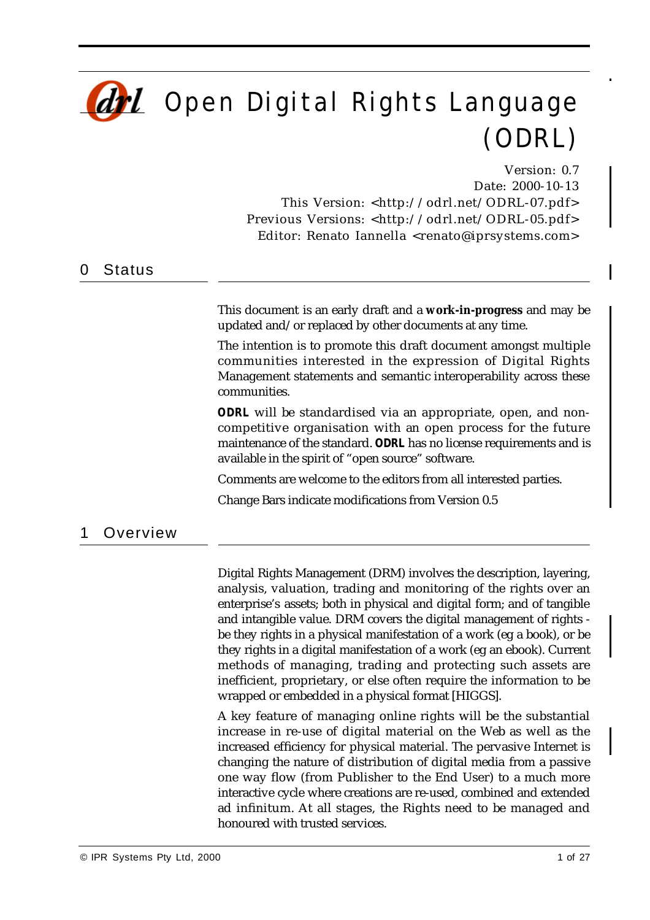

Version: 0.7 Date: 2000-10-13 This Version: <http://odrl.net/ODRL-07.pdf> Previous Versions: <http://odrl.net/ODRL-05.pdf> Editor: Renato Iannella <renato@iprsystems.com>

## **Status**

This document is an early draft and a **work-in-progress** and may be updated and/or replaced by other documents at any time.

The intention is to promote this draft document amongst multiple communities interested in the expression of Digital Rights Management statements and semantic interoperability across these communities.

*ODRL* will be standardised via an appropriate, open, and noncompetitive organisation with an open process for the future maintenance of the standard. *ODRL* has no license requirements and is available in the spirit of "open source" software.

Comments are welcome to the editors from all interested parties.

Change Bars indicate modifications from Version 0.5

## 1 Overview

Digital Rights Management (DRM) involves the description, layering, analysis, valuation, trading and monitoring of the rights over an enterprise's assets; both in physical and digital form; and of tangible and intangible value. DRM covers the digital management of rights be they rights in a physical manifestation of a work (eg a book), or be they rights in a digital manifestation of a work (eg an ebook). Current methods of managing, trading and protecting such assets are inefficient, proprietary, or else often require the information to be wrapped or embedded in a physical format [HIGGS].

A key feature of managing online rights will be the substantial increase in re-use of digital material on the Web as well as the increased efficiency for physical material. The pervasive Internet is changing the nature of distribution of digital media from a passive one way flow (from Publisher to the End User) to a much more interactive cycle where creations are re-used, combined and extended ad infinitum. At all stages, the Rights need to be managed and honoured with trusted services.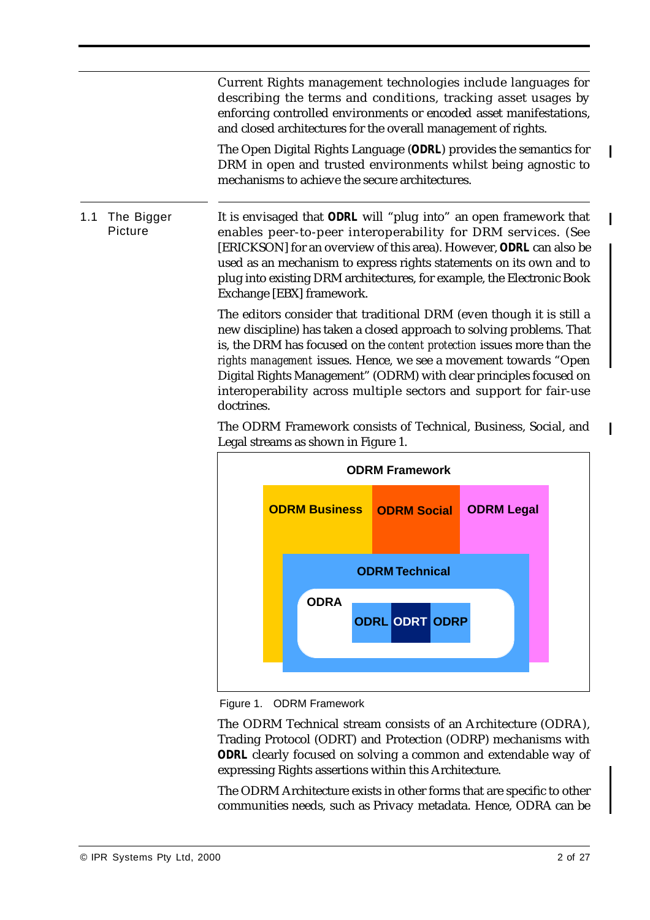Current Rights management technologies include languages for describing the terms and conditions, tracking asset usages by enforcing controlled environments or encoded asset manifestations, and closed architectures for the overall management of rights.

The Open Digital Rights Language (*ODRL*) provides the semantics for DRM in open and trusted environments whilst being agnostic to mechanisms to achieve the secure architectures.

1.1 The Bigger Picture It is envisaged that *ODRL* will "plug into" an open framework that enables peer-to-peer interoperability for DRM services. (See [ERICKSON] for an overview of this area). However, *ODRL* can also be used as an mechanism to express rights statements on its own and to plug into existing DRM architectures, for example, the Electronic Book Exchange [EBX] framework.

> The editors consider that traditional DRM (even though it is still a new discipline) has taken a closed approach to solving problems. That is, the DRM has focused on the *content protection* issues more than the *rights management* issues. Hence, we see a movement towards "Open Digital Rights Management" (ODRM) with clear principles focused on interoperability across multiple sectors and support for fair-use doctrines.

The ODRM Framework consists of Technical, Business, Social, and Legal streams as shown in Figure 1.



Figure 1. ODRM Framework

The ODRM Technical stream consists of an Architecture (ODRA), Trading Protocol (ODRT) and Protection (ODRP) mechanisms with *ODRL* clearly focused on solving a common and extendable way of expressing Rights assertions within this Architecture.

The ODRM Architecture exists in other forms that are specific to other communities needs, such as Privacy metadata. Hence, ODRA can be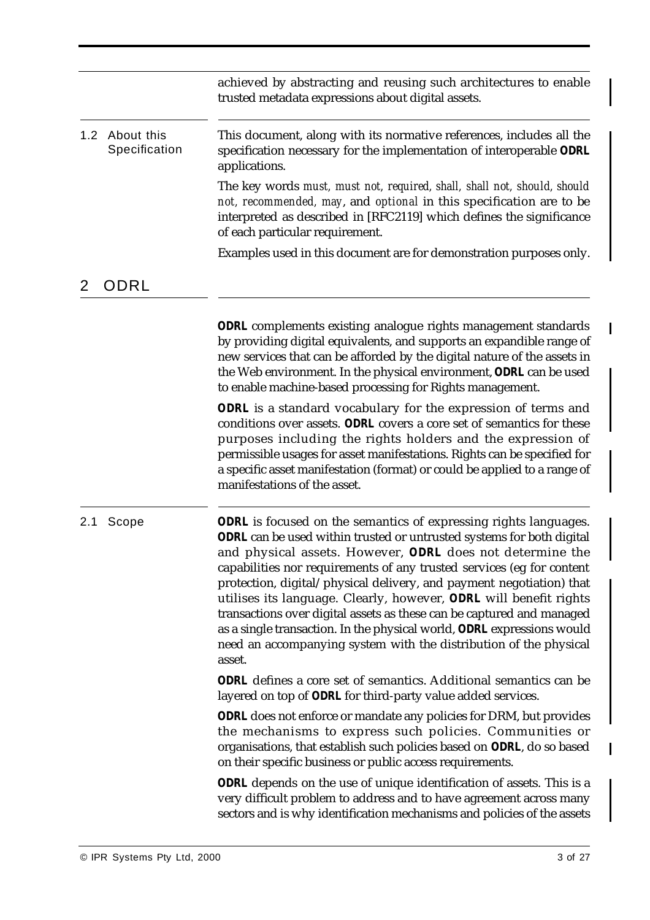|                                 | achieved by abstracting and reusing such architectures to enable<br>trusted metadata expressions about digital assets.                                                                                                                                     |
|---------------------------------|------------------------------------------------------------------------------------------------------------------------------------------------------------------------------------------------------------------------------------------------------------|
| 1.2 About this<br>Specification | This document, along with its normative references, includes all the<br>specification necessary for the implementation of interoperable ODRL<br>applications.                                                                                              |
|                                 | The key words must, must not, required, shall, shall not, should, should<br>not, recommended, may, and optional in this specification are to be<br>interpreted as described in [RFC2119] which defines the significance<br>of each particular requirement. |
|                                 | Examples used in this document are for demonstration purposes only.                                                                                                                                                                                        |
| 2 ODRL                          |                                                                                                                                                                                                                                                            |
|                                 | <b>ODRL</b> complements existing analogue rights management standards                                                                                                                                                                                      |

by providing digital equivalents, and supports an expandible range of new services that can be afforded by the digital nature of the assets in the Web environment. In the physical environment, *ODRL* can be used to enable machine-based processing for Rights management.

*ODRL* is a standard vocabulary for the expression of terms and conditions over assets. *ODRL* covers a core set of semantics for these purposes including the rights holders and the expression of permissible usages for asset manifestations. Rights can be specified for a specific asset manifestation (format) or could be applied to a range of manifestations of the asset.

2.1 Scope *ODRL* is focused on the semantics of expressing rights languages. *ODRL* can be used within trusted or untrusted systems for both digital and physical assets. However, *ODRL* does not determine the capabilities nor requirements of any trusted services (eg for content protection, digital/physical delivery, and payment negotiation) that utilises its language. Clearly, however, *ODRL* will benefit rights transactions over digital assets as these can be captured and managed as a single transaction. In the physical world, *ODRL* expressions would need an accompanying system with the distribution of the physical asset.

> *ODRL* defines a core set of semantics. Additional semantics can be layered on top of *ODRL* for third-party value added services.

> *ODRL* does not enforce or mandate any policies for DRM, but provides the mechanisms to express such policies. Communities or organisations, that establish such policies based on *ODRL*, do so based on their specific business or public access requirements.

> *ODRL* depends on the use of unique identification of assets. This is a very difficult problem to address and to have agreement across many sectors and is why identification mechanisms and policies of the assets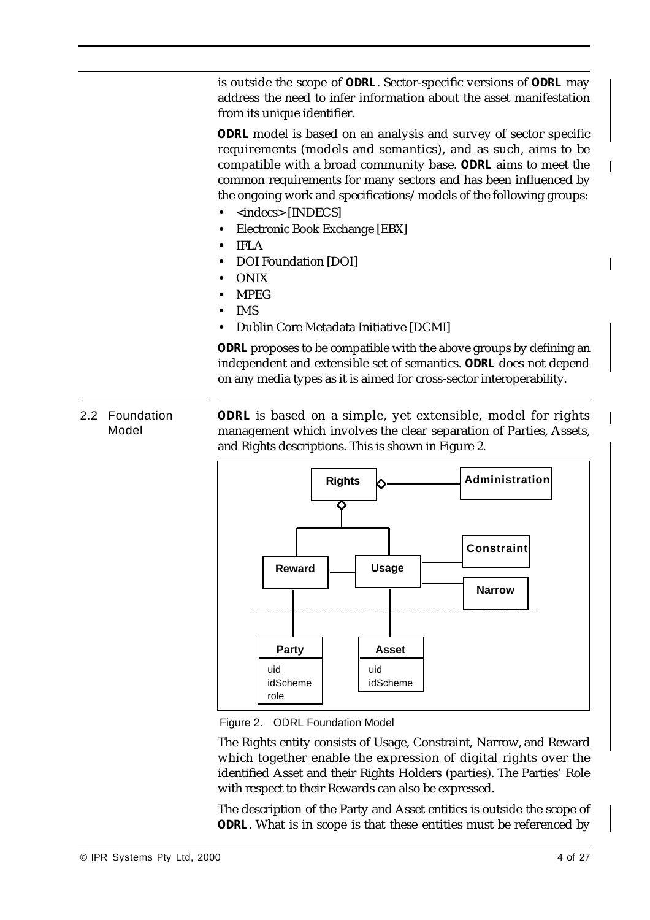is outside the scope of *ODRL*. Sector-specific versions of *ODRL* may address the need to infer information about the asset manifestation from its unique identifier.

*ODRL* model is based on an analysis and survey of sector specific requirements (models and semantics), and as such, aims to be compatible with a broad community base. *ODRL* aims to meet the common requirements for many sectors and has been influenced by the ongoing work and specifications/models of the following groups:

- **•** <indecs> [INDECS]
- **•** Electronic Book Exchange [EBX]
- **•** IFLA
- **•** DOI Foundation [DOI]
- **•** ONIX
- **•** MPEG
- **•** IMS
- **•** Dublin Core Metadata Initiative [DCMI]

*ODRL* proposes to be compatible with the above groups by defining an independent and extensible set of semantics. *ODRL* does not depend on any media types as it is aimed for cross-sector interoperability.

#### 2.2 Foundation Model *ODRL* is based on a simple, yet extensible, model for rights management which involves the clear separation of Parties, Assets, and Rights descriptions. This is shown in Figure 2.



Figure 2. ODRL Foundation Model

The Rights entity consists of Usage, Constraint, Narrow, and Reward which together enable the expression of digital rights over the identified Asset and their Rights Holders (parties). The Parties' Role with respect to their Rewards can also be expressed.

The description of the Party and Asset entities is outside the scope of *ODRL*. What is in scope is that these entities must be referenced by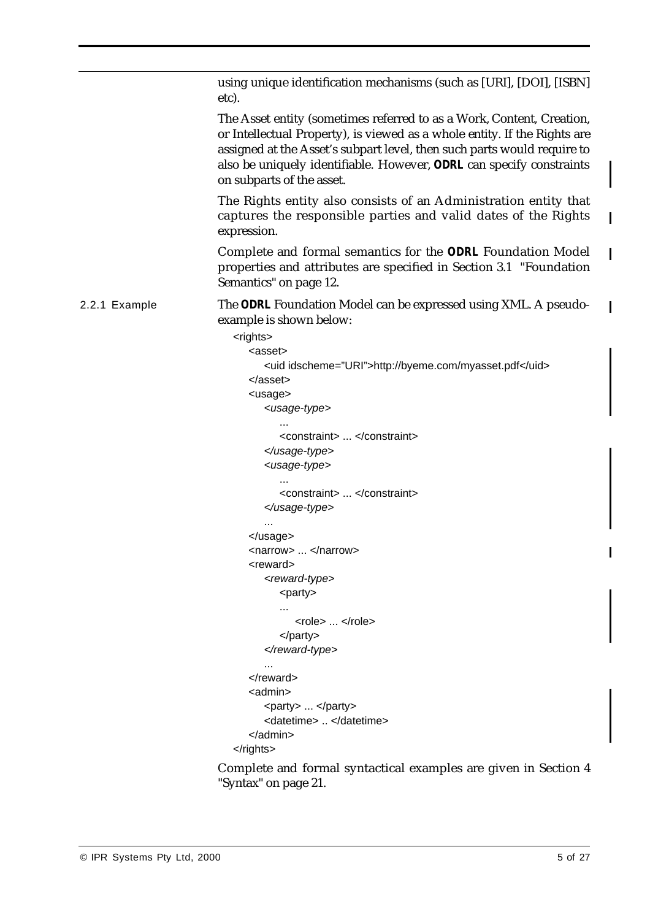|               | using unique identification mechanisms (such as [URI], [DOI], [ISBN]<br>etc).                                                                                                                                                                                                                                                      |
|---------------|------------------------------------------------------------------------------------------------------------------------------------------------------------------------------------------------------------------------------------------------------------------------------------------------------------------------------------|
|               | The Asset entity (sometimes referred to as a Work, Content, Creation,<br>or Intellectual Property), is viewed as a whole entity. If the Rights are<br>assigned at the Asset's subpart level, then such parts would require to<br>also be uniquely identifiable. However, ODRL can specify constraints<br>on subparts of the asset. |
|               | The Rights entity also consists of an Administration entity that<br>captures the responsible parties and valid dates of the Rights<br>expression.                                                                                                                                                                                  |
|               | Complete and formal semantics for the ODRL Foundation Model<br>properties and attributes are specified in Section 3.1 "Foundation<br>Semantics" on page 12.                                                                                                                                                                        |
| 2.2.1 Example | The ODRL Foundation Model can be expressed using XML. A pseudo-<br>example is shown below:                                                                                                                                                                                                                                         |
|               | <rights></rights>                                                                                                                                                                                                                                                                                                                  |
|               | <asset></asset>                                                                                                                                                                                                                                                                                                                    |
|               | <uid idscheme="URI">http://byeme.com/myasset.pdf</uid>                                                                                                                                                                                                                                                                             |
|               |                                                                                                                                                                                                                                                                                                                                    |
|               |                                                                                                                                                                                                                                                                                                                                    |
|               | <usage></usage>                                                                                                                                                                                                                                                                                                                    |
|               | <usage-type></usage-type>                                                                                                                                                                                                                                                                                                          |
|               |                                                                                                                                                                                                                                                                                                                                    |
|               | <constraint> </constraint>                                                                                                                                                                                                                                                                                                         |
|               |                                                                                                                                                                                                                                                                                                                                    |
|               | <usage-type></usage-type>                                                                                                                                                                                                                                                                                                          |
|               |                                                                                                                                                                                                                                                                                                                                    |
|               | <constraint> </constraint>                                                                                                                                                                                                                                                                                                         |
|               |                                                                                                                                                                                                                                                                                                                                    |
|               |                                                                                                                                                                                                                                                                                                                                    |
|               |                                                                                                                                                                                                                                                                                                                                    |
|               | <narrow> </narrow>                                                                                                                                                                                                                                                                                                                 |
|               | <reward></reward>                                                                                                                                                                                                                                                                                                                  |
|               | <reward-type></reward-type>                                                                                                                                                                                                                                                                                                        |
|               | <party></party>                                                                                                                                                                                                                                                                                                                    |
|               |                                                                                                                                                                                                                                                                                                                                    |
|               | <role> </role>                                                                                                                                                                                                                                                                                                                     |
|               |                                                                                                                                                                                                                                                                                                                                    |
|               |                                                                                                                                                                                                                                                                                                                                    |
|               | $\ldots$ .                                                                                                                                                                                                                                                                                                                         |
|               | $\alpha$ /reward $\alpha$                                                                                                                                                                                                                                                                                                          |
|               | <admin></admin>                                                                                                                                                                                                                                                                                                                    |
|               | <party> </party>                                                                                                                                                                                                                                                                                                                   |
|               | <datetime> </datetime>                                                                                                                                                                                                                                                                                                             |
|               | $\alpha$ /admin>                                                                                                                                                                                                                                                                                                                   |
|               |                                                                                                                                                                                                                                                                                                                                    |
|               | alata and formal gyntaet                                                                                                                                                                                                                                                                                                           |

Complete and formal syntactical examples are given in Section 4 "Syntax" on page 21.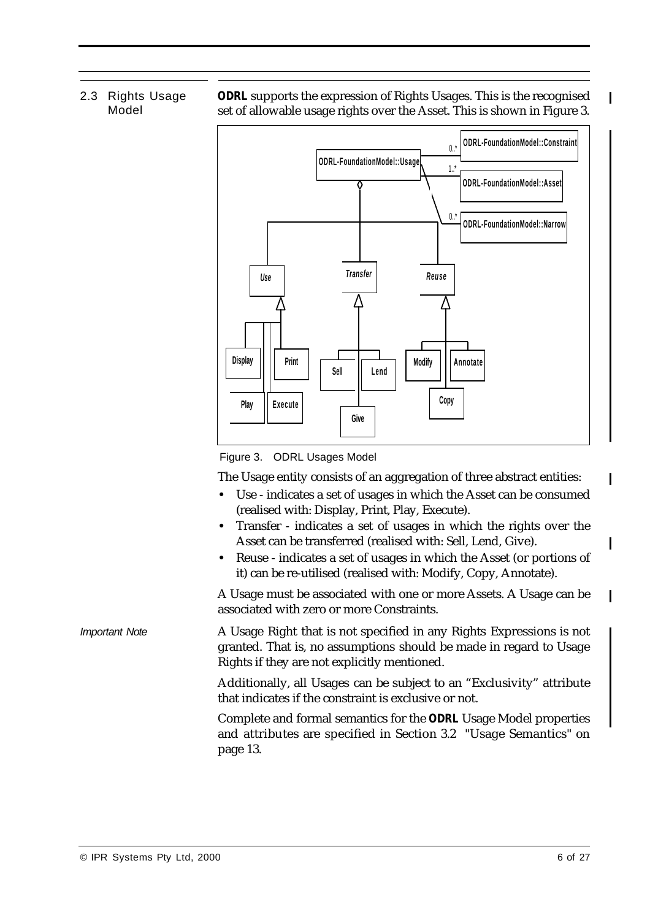### 2.3 Rights Usage Model

*ODRL* supports the expression of Rights Usages. This is the recognised set of allowable usage rights over the Asset. This is shown in Figure 3.



Figure 3. ODRL Usages Model

The Usage entity consists of an aggregation of three abstract entities:

- **•** Use indicates a set of usages in which the Asset can be consumed (realised with: Display, Print, Play, Execute).
- **•** Transfer indicates a set of usages in which the rights over the Asset can be transferred (realised with: Sell, Lend, Give).
- **•** Reuse indicates a set of usages in which the Asset (or portions of it) can be re-utilised (realised with: Modify, Copy, Annotate).

A Usage must be associated with one or more Assets. A Usage can be associated with zero or more Constraints.

*Important Note* A Usage Right that is not specified in any Rights Expressions is not granted. That is, no assumptions should be made in regard to Usage Rights if they are not explicitly mentioned.

> Additionally, all Usages can be subject to an "Exclusivity" attribute that indicates if the constraint is exclusive or not.

> Complete and formal semantics for the *ODRL* Usage Model properties and attributes are specified in Section 3.2 "Usage Semantics" on page 13.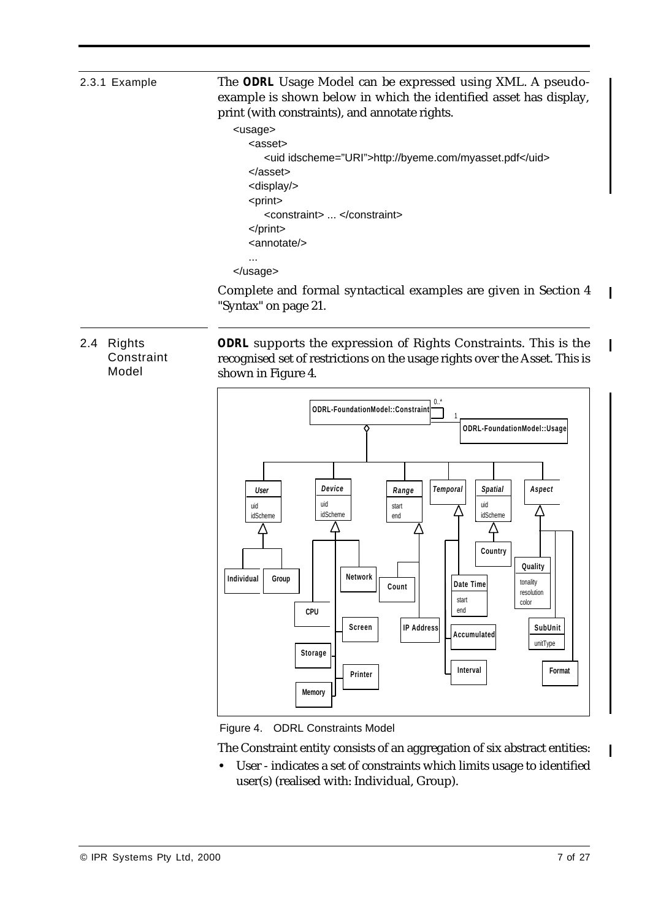2.3.1 Example The *ODRL* Usage Model can be expressed using XML. A pseudoexample is shown below in which the identified asset has display, print (with constraints), and annotate rights.

```
<usage>
   <asset>
      <uid idscheme="URI">http://byeme.com/myasset.pdf</uid>
   </asset>
   <display/>
   <print>
      <constraint> ... </constraint>
   </print>
   <annotate/> 
   ...
</usage>
```
Complete and formal syntactical examples are given in Section 4 "Syntax" on page 21.

### 2.4 Rights **Constraint** Model

*ODRL* supports the expression of Rights Constraints. This is the recognised set of restrictions on the usage rights over the Asset. This is shown in Figure 4.



Figure 4. ODRL Constraints Model

The Constraint entity consists of an aggregation of six abstract entities:

**•** User - indicates a set of constraints which limits usage to identified user(s) (realised with: Individual, Group).

 $\mathbf I$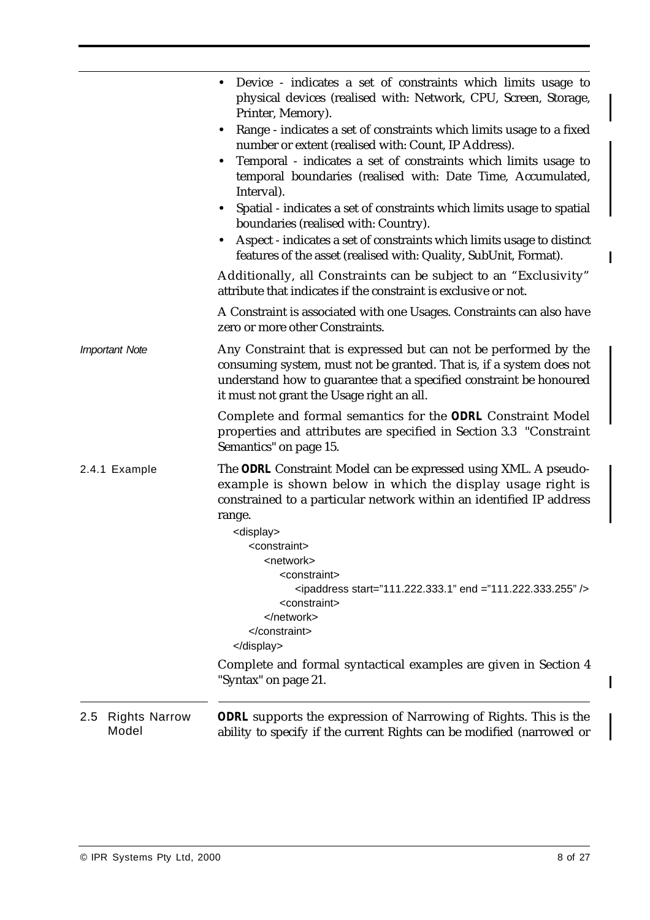|                                          | Device - indicates a set of constraints which limits usage to<br>physical devices (realised with: Network, CPU, Screen, Storage,<br>Printer, Memory).<br>Range - indicates a set of constraints which limits usage to a fixed<br>$\bullet$<br>number or extent (realised with: Count, IP Address).<br>Temporal - indicates a set of constraints which limits usage to<br>$\bullet$<br>temporal boundaries (realised with: Date Time, Accumulated,<br>Interval).<br>Spatial - indicates a set of constraints which limits usage to spatial<br>$\bullet$<br>boundaries (realised with: Country).<br>Aspect - indicates a set of constraints which limits usage to distinct<br>features of the asset (realised with: Quality, SubUnit, Format).<br>Additionally, all Constraints can be subject to an "Exclusivity"<br>attribute that indicates if the constraint is exclusive or not.<br>A Constraint is associated with one Usages. Constraints can also have<br>zero or more other Constraints. |
|------------------------------------------|-------------------------------------------------------------------------------------------------------------------------------------------------------------------------------------------------------------------------------------------------------------------------------------------------------------------------------------------------------------------------------------------------------------------------------------------------------------------------------------------------------------------------------------------------------------------------------------------------------------------------------------------------------------------------------------------------------------------------------------------------------------------------------------------------------------------------------------------------------------------------------------------------------------------------------------------------------------------------------------------------|
| <b>Important Note</b>                    | Any Constraint that is expressed but can not be performed by the<br>consuming system, must not be granted. That is, if a system does not<br>understand how to guarantee that a specified constraint be honoured<br>it must not grant the Usage right an all.                                                                                                                                                                                                                                                                                                                                                                                                                                                                                                                                                                                                                                                                                                                                    |
|                                          | Complete and formal semantics for the ODRL Constraint Model<br>properties and attributes are specified in Section 3.3 "Constraint<br>Semantics" on page 15.                                                                                                                                                                                                                                                                                                                                                                                                                                                                                                                                                                                                                                                                                                                                                                                                                                     |
| 2.4.1 Example                            | The ODRL Constraint Model can be expressed using XML. A pseudo-<br>example is shown below in which the display usage right is<br>constrained to a particular network within an identified IP address<br>range.<br><display><br/><constraint><br/><network><br/><constraint><br/><math>\epsilon</math>ipaddress start="111.222.333.1" end ="111.222.333.255" /&gt;<br/><constraint><br/></constraint></constraint></network><br/></constraint><br/></display><br>Complete and formal syntactical examples are given in Section 4<br>"Syntax" on page 21.                                                                                                                                                                                                                                                                                                                                                                                                                                         |
| <b>Rights Narrow</b><br>$2.5\,$<br>Model | ODRL supports the expression of Narrowing of Rights. This is the<br>ability to specify if the current Rights can be modified (narrowed or                                                                                                                                                                                                                                                                                                                                                                                                                                                                                                                                                                                                                                                                                                                                                                                                                                                       |
|                                          |                                                                                                                                                                                                                                                                                                                                                                                                                                                                                                                                                                                                                                                                                                                                                                                                                                                                                                                                                                                                 |

П

 $\mathbf{I}$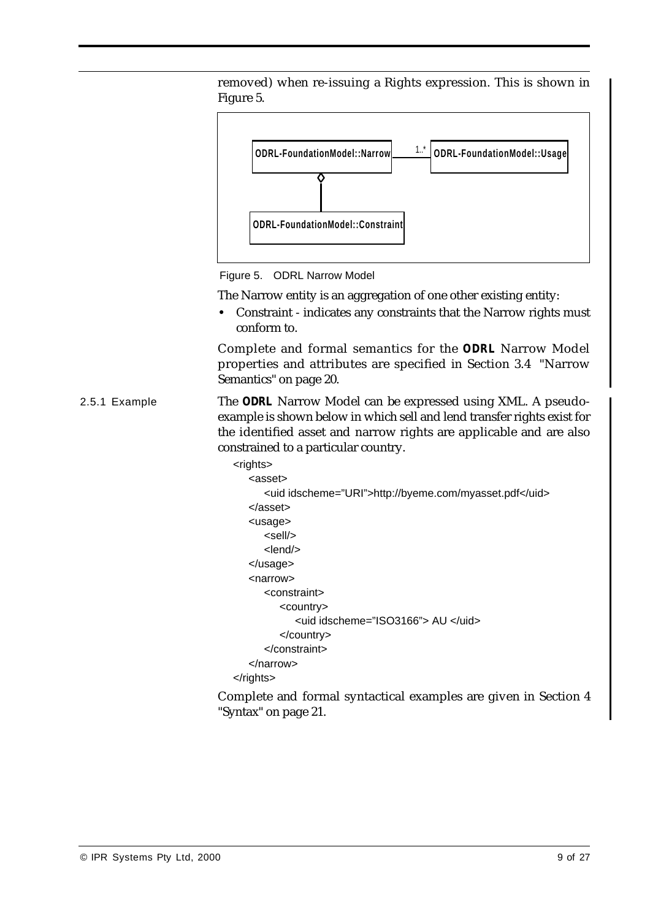

removed) when re-issuing a Rights expression. This is shown in Figure 5.

Figure 5. ODRL Narrow Model

The Narrow entity is an aggregation of one other existing entity:

**•** Constraint - indicates any constraints that the Narrow rights must conform to.

Complete and formal semantics for the *ODRL* Narrow Model properties and attributes are specified in Section 3.4 "Narrow Semantics" on page 20.

2.5.1 Example The *ODRL* Narrow Model can be expressed using XML. A pseudoexample is shown below in which sell and lend transfer rights exist for the identified asset and narrow rights are applicable and are also constrained to a particular country.

```
<rights>
     <asset>
        <uid idscheme="URI">http://byeme.com/myasset.pdf</uid>
     </asset>
      <usage>
        <sell/>
        <lend/>
      </usage>
      <narrow>
        <constraint>
           <country>
              <uid idscheme="ISO3166"> AU </uid>
           </country>
        </constraint>
      </narrow>
  </rights>
Complete and formal syntactical examples are given in Section 4
```
"Syntax" on page 21.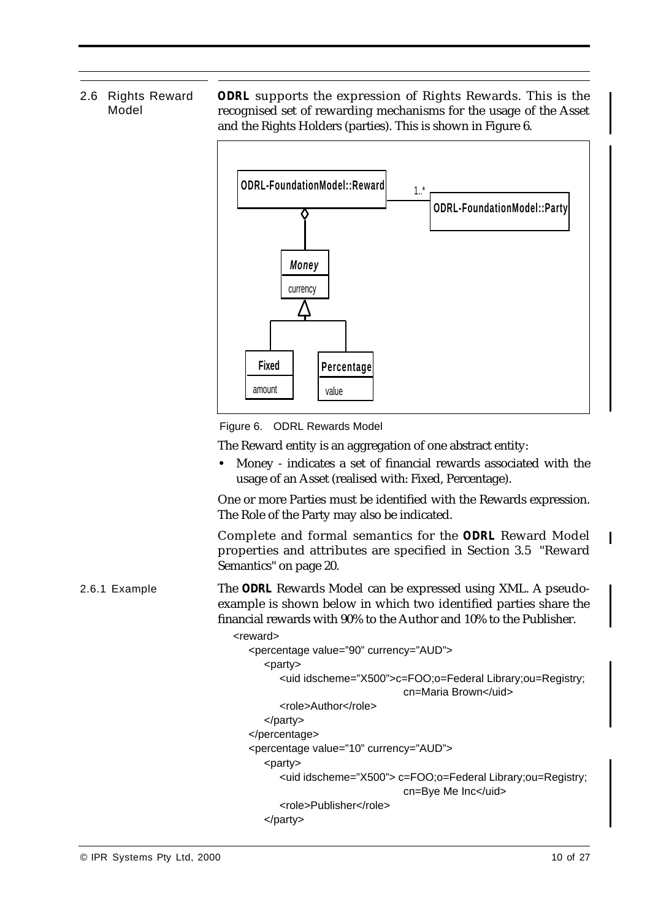## 2.6 Rights Reward Model

*ODRL* supports the expression of Rights Rewards. This is the recognised set of rewarding mechanisms for the usage of the Asset and the Rights Holders (parties). This is shown in Figure 6.



Figure 6. ODRL Rewards Model

The Reward entity is an aggregation of one abstract entity:

**•** Money - indicates a set of financial rewards associated with the usage of an Asset (realised with: Fixed, Percentage).

One or more Parties must be identified with the Rewards expression. The Role of the Party may also be indicated.

Complete and formal semantics for the *ODRL* Reward Model properties and attributes are specified in Section 3.5 "Reward Semantics" on page 20.

2.6.1 Example The *ODRL* Rewards Model can be expressed using XML. A pseudoexample is shown below in which two identified parties share the financial rewards with 90% to the Author and 10% to the Publisher.

```
<reward>
```

```
<percentage value="90" currency="AUD">
  <party> 
     <uid idscheme="X500">c=FOO;o=Federal Library;ou=Registry; 
                              cn=Maria Brown</uid>
     <role>Author</role>
  </party> 
</percentage>
<percentage value="10" currency="AUD">
  <party>
     <uid idscheme="X500"> c=FOO;o=Federal Library;ou=Registry; 
                              cn=Bye Me Inc</uid>
     <role>Publisher</role>
  </party>
```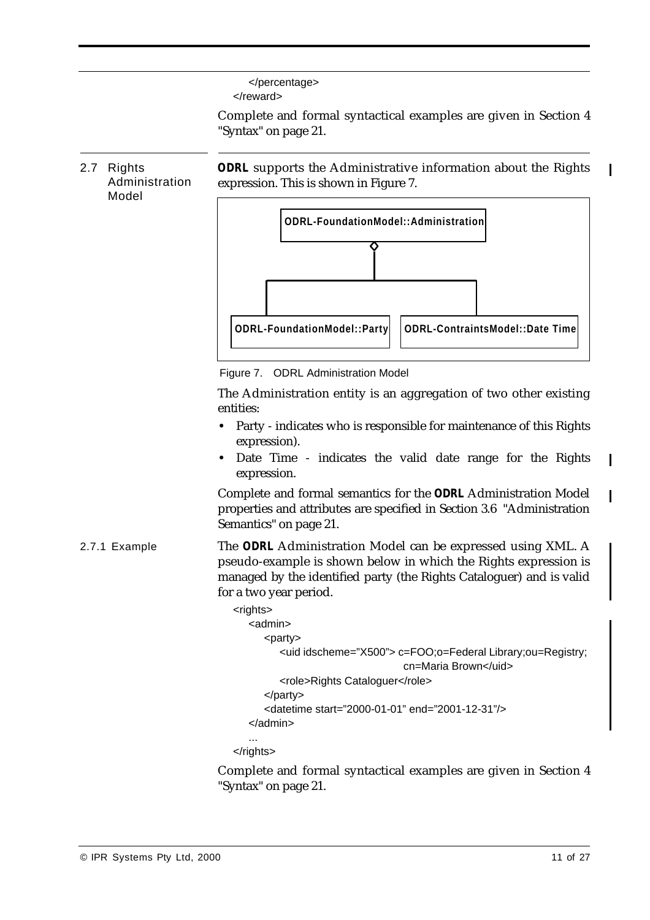```
</percentage>
</reward>
```
Complete and formal syntactical examples are given in Section 4 "Syntax" on page 21.

2.7 Rights Administration Model

*ODRL* supports the Administrative information about the Rights expression. This is shown in Figure 7.



Figure 7. ODRL Administration Model

The Administration entity is an aggregation of two other existing entities:

- **•** Party indicates who is responsible for maintenance of this Rights expression).
- **•** Date Time indicates the valid date range for the Rights expression.

Complete and formal semantics for the *ODRL* Administration Model properties and attributes are specified in Section 3.6 "Administration Semantics" on page 21.

2.7.1 Example The *ODRL* Administration Model can be expressed using XML. A pseudo-example is shown below in which the Rights expression is managed by the identified party (the Rights Cataloguer) and is valid for a two year period.

```
<rights>
   <admin>
      <party>
         <uid idscheme="X500"> c=FOO;o=Federal Library;ou=Registry; 
                                 cn=Maria Brown</uid>
         <role>Rights Cataloguer</role>
      </party>
      <datetime start="2000-01-01" end="2001-12-31"/>
   </admin>
   ...
</rights>
```
Complete and formal syntactical examples are given in Section 4 "Syntax" on page 21.

 $\mathbf I$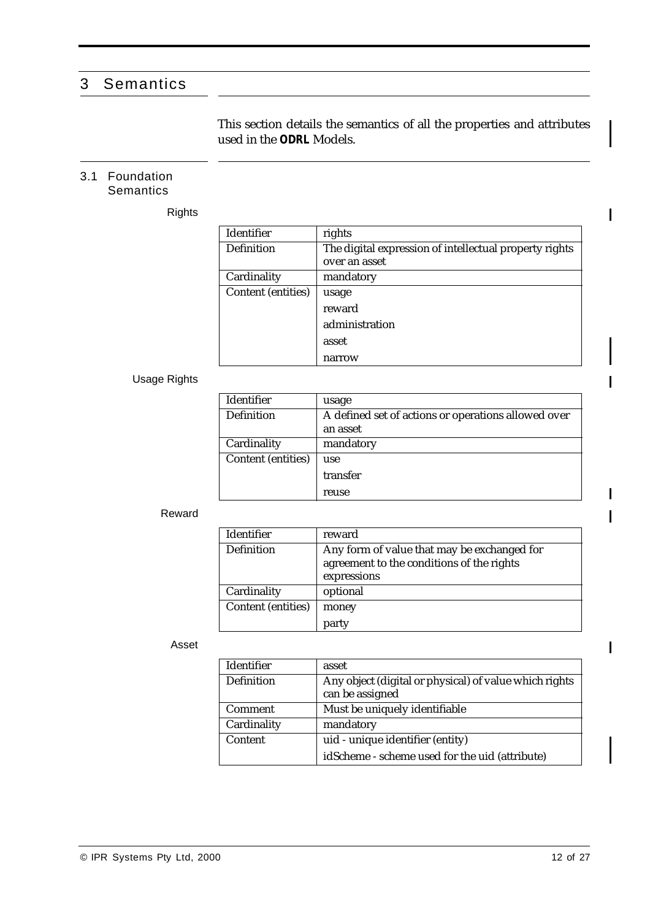# 3 Semantics

This section details the semantics of all the properties and attributes used in the *ODRL* Models.

### 3.1 Foundation **Semantics**

Rights

| <b>Identifier</b>         | rights                                                                  |
|---------------------------|-------------------------------------------------------------------------|
| <b>Definition</b>         | The digital expression of intellectual property rights<br>over an asset |
| Cardinality               | mandatory                                                               |
| <b>Content (entities)</b> | usage                                                                   |
|                           | reward                                                                  |
|                           | administration                                                          |
|                           | asset                                                                   |
|                           | narrow                                                                  |

## Usage Rights

| <b>Identifier</b>         | usage                                               |
|---------------------------|-----------------------------------------------------|
| <b>Definition</b>         | A defined set of actions or operations allowed over |
|                           | an asset                                            |
| Cardinality               | mandatory                                           |
| <b>Content (entities)</b> | use                                                 |
|                           | transfer                                            |
|                           | reuse                                               |

#### Reward

| <b>Identifier</b>         | reward                                                                                                  |
|---------------------------|---------------------------------------------------------------------------------------------------------|
| <b>Definition</b>         | Any form of value that may be exchanged for<br>agreement to the conditions of the rights<br>expressions |
| Cardinality               | optional                                                                                                |
| <b>Content (entities)</b> | money                                                                                                   |
|                           | party                                                                                                   |

#### Asset

| Identifier        | asset                                                                     |
|-------------------|---------------------------------------------------------------------------|
| <b>Definition</b> | Any object (digital or physical) of value which rights<br>can be assigned |
| <b>Comment</b>    | Must be uniquely identifiable                                             |
| Cardinality       | mandatory                                                                 |
| Content           | uid - unique identifier (entity)                                          |
|                   | idScheme - scheme used for the uid (attribute)                            |

 $\mathbf I$ 

 $\mathbf I$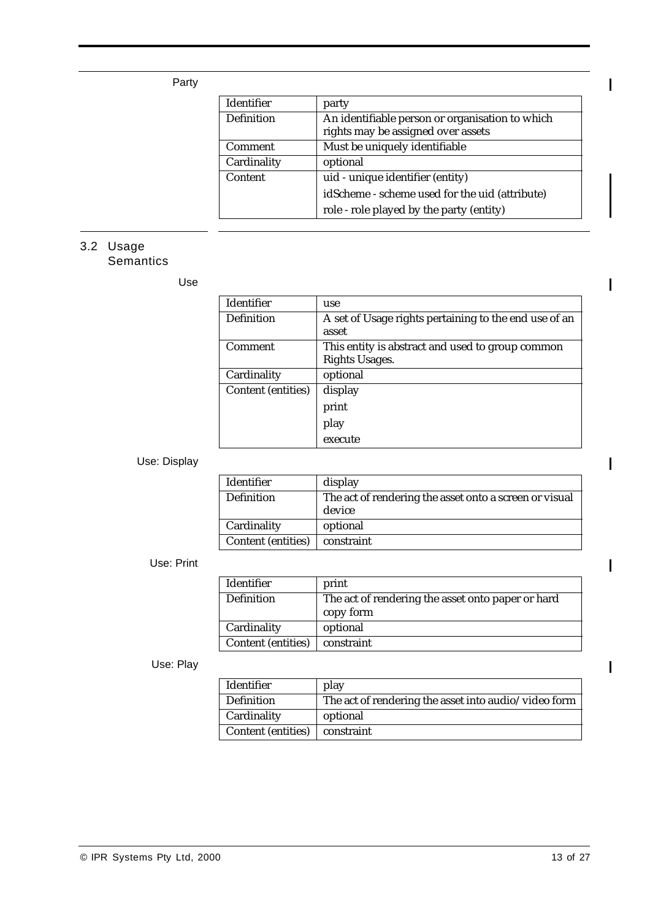Party

| Identifier        | party                                           |
|-------------------|-------------------------------------------------|
| <b>Definition</b> | An identifiable person or organisation to which |
|                   | rights may be assigned over assets              |
| Comment           | Must be uniquely identifiable                   |
| Cardinality       | optional                                        |
| Content           | uid - unique identifier (entity)                |
|                   | idScheme - scheme used for the uid (attribute)  |
|                   | role - role played by the party (entity)        |

# 3.2 Usage

## Semantics

Use

| <b>Identifier</b>         | use                                                   |
|---------------------------|-------------------------------------------------------|
| <b>Definition</b>         | A set of Usage rights pertaining to the end use of an |
|                           | asset                                                 |
| Comment                   | This entity is abstract and used to group common      |
|                           | <b>Rights Usages.</b>                                 |
| Cardinality               | optional                                              |
| <b>Content (entities)</b> | display                                               |
|                           | print                                                 |
|                           | play                                                  |
|                           | execute                                               |

## Use: Display

| <b>Identifier</b>         | display                                                          |
|---------------------------|------------------------------------------------------------------|
| <b>Definition</b>         | The act of rendering the asset onto a screen or visual<br>device |
| Cardinality               | optional                                                         |
| <b>Content (entities)</b> | constraint                                                       |

### Use: Print

| <b>Identifier</b>         | print                                                          |
|---------------------------|----------------------------------------------------------------|
| <b>Definition</b>         | The act of rendering the asset onto paper or hard<br>copy form |
| Cardinality               | optional                                                       |
| <b>Content (entities)</b> | constraint                                                     |

## Use: Play

| Identifier                | play                                                 |
|---------------------------|------------------------------------------------------|
| <b>Definition</b>         | The act of rendering the asset into audio/video form |
| Cardinality               | optional                                             |
| <b>Content (entities)</b> | constraint                                           |

 $\overline{\mathbf{I}}$ 

 $\blacksquare$ 

 $\mathbf I$ 

 $\overline{\phantom{a}}$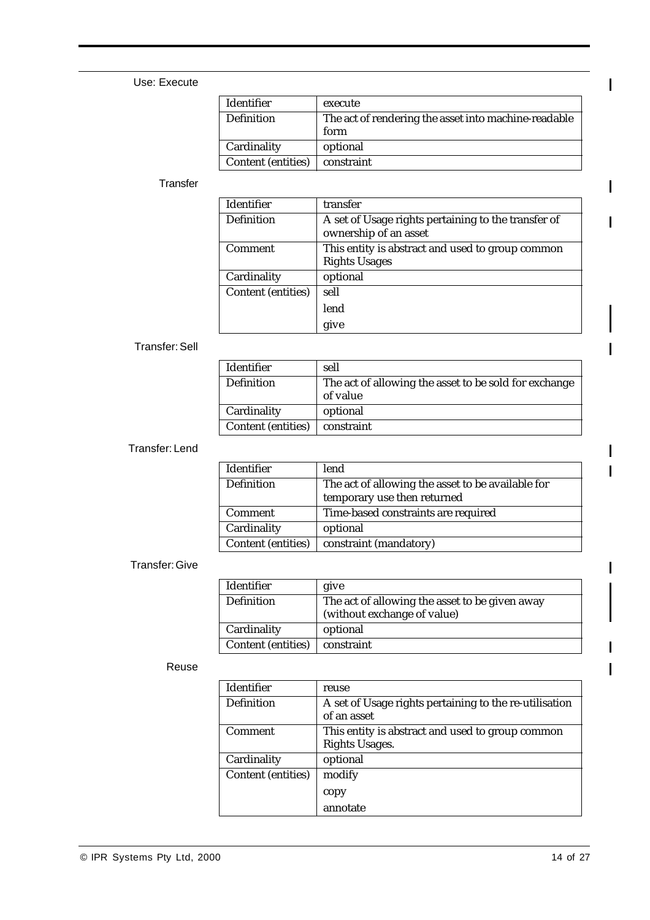### Use: Execute

| Identifier                | execute                                              |
|---------------------------|------------------------------------------------------|
| <b>Definition</b>         | The act of rendering the asset into machine-readable |
|                           | form                                                 |
| Cardinality               | optional                                             |
| <b>Content (entities)</b> | constraint                                           |

### **Transfer**

| <b>Identifier</b>         | transfer                                                                     |
|---------------------------|------------------------------------------------------------------------------|
| <b>Definition</b>         | A set of Usage rights pertaining to the transfer of<br>ownership of an asset |
| <b>Comment</b>            | This entity is abstract and used to group common                             |
|                           | <b>Rights Usages</b>                                                         |
| Cardinality               | optional                                                                     |
| <b>Content (entities)</b> | sell                                                                         |
|                           | lend                                                                         |
|                           |                                                                              |

## Transfer: Sell

| <b>Identifier</b>         | sell                                                              |
|---------------------------|-------------------------------------------------------------------|
| <b>Definition</b>         | The act of allowing the asset to be sold for exchange<br>of value |
| Cardinality               | optional                                                          |
| <b>Content (entities)</b> | constraint                                                        |

### Transfer: Lend

| <b>Identifier</b>         | lend                                              |
|---------------------------|---------------------------------------------------|
| <b>Definition</b>         | The act of allowing the asset to be available for |
|                           | temporary use then returned                       |
| <b>Comment</b>            | Time-based constraints are required               |
| Cardinality               | optional                                          |
| <b>Content (entities)</b> | constraint (mandatory)                            |

### Transfer: Give

| <b>Identifier</b>         | give                                           |
|---------------------------|------------------------------------------------|
| <b>Definition</b>         | The act of allowing the asset to be given away |
|                           | (without exchange of value)                    |
| Cardinality               | optional                                       |
| <b>Content (entities)</b> | constraint                                     |

### Reuse

| <b>Identifier</b>         | reuse                                                  |
|---------------------------|--------------------------------------------------------|
| <b>Definition</b>         | A set of Usage rights pertaining to the re-utilisation |
|                           | of an asset                                            |
| <b>Comment</b>            | This entity is abstract and used to group common       |
|                           | <b>Rights Usages.</b>                                  |
| Cardinality               | optional                                               |
| <b>Content (entities)</b> | modify                                                 |
|                           | copy                                                   |
|                           | annotate                                               |

 $\blacksquare$ 

 $\mathbf I$ 

Ī

 $\mathbf I$ 

 $\overline{\phantom{a}}$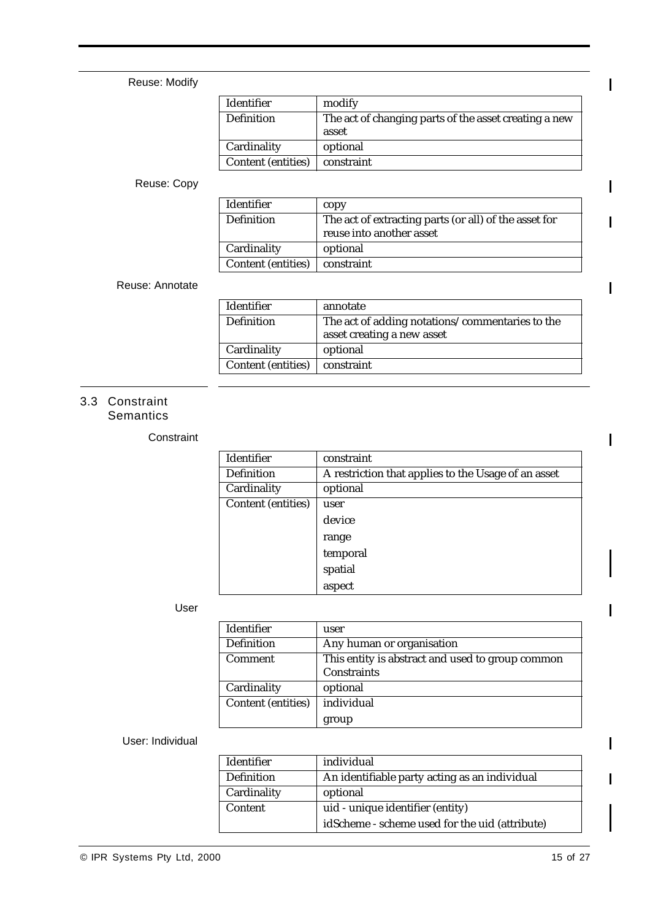Reuse: Modify

| <b>Identifier</b>         | modify                                                |
|---------------------------|-------------------------------------------------------|
| <b>Definition</b>         | The act of changing parts of the asset creating a new |
|                           | asset                                                 |
| Cardinality               | optional                                              |
| <b>Content (entities)</b> | constraint                                            |

## Reuse: Copy

| <b>Identifier</b>         | copy                                                                              |
|---------------------------|-----------------------------------------------------------------------------------|
| <b>Definition</b>         | The act of extracting parts (or all) of the asset for<br>reuse into another asset |
| Cardinality               |                                                                                   |
|                           | optional                                                                          |
| <b>Content (entities)</b> | constraint                                                                        |

### Reuse: Annotate

| <b>Identifier</b>         | annotate                                        |
|---------------------------|-------------------------------------------------|
| <b>Definition</b>         | The act of adding notations/commentaries to the |
|                           | asset creating a new asset                      |
| Cardinality               | optional                                        |
| <b>Content (entities)</b> | constraint                                      |

## 3.3 Constraint **Semantics**

**Constraint** 

| <b>Identifier</b>         | constraint                                          |
|---------------------------|-----------------------------------------------------|
| <b>Definition</b>         | A restriction that applies to the Usage of an asset |
| Cardinality               | optional                                            |
| <b>Content (entities)</b> | user                                                |
|                           | device                                              |
|                           | range                                               |
|                           | temporal                                            |
|                           | spatial                                             |
|                           | aspect                                              |

### User

| <b>Identifier</b>         | user                                             |
|---------------------------|--------------------------------------------------|
| <b>Definition</b>         | Any human or organisation                        |
| <b>Comment</b>            | This entity is abstract and used to group common |
|                           | <b>Constraints</b>                               |
| Cardinality               | optional                                         |
| <b>Content (entities)</b> | individual                                       |
|                           | group                                            |

## User: Individual

| <b>Identifier</b> | individual                                     |
|-------------------|------------------------------------------------|
| <b>Definition</b> | An identifiable party acting as an individual  |
| Cardinality       | optional                                       |
| <b>Content</b>    | uid - unique identifier (entity)               |
|                   | idScheme - scheme used for the uid (attribute) |

П

 $\blacksquare$ 

 $\mathbf I$ 

Π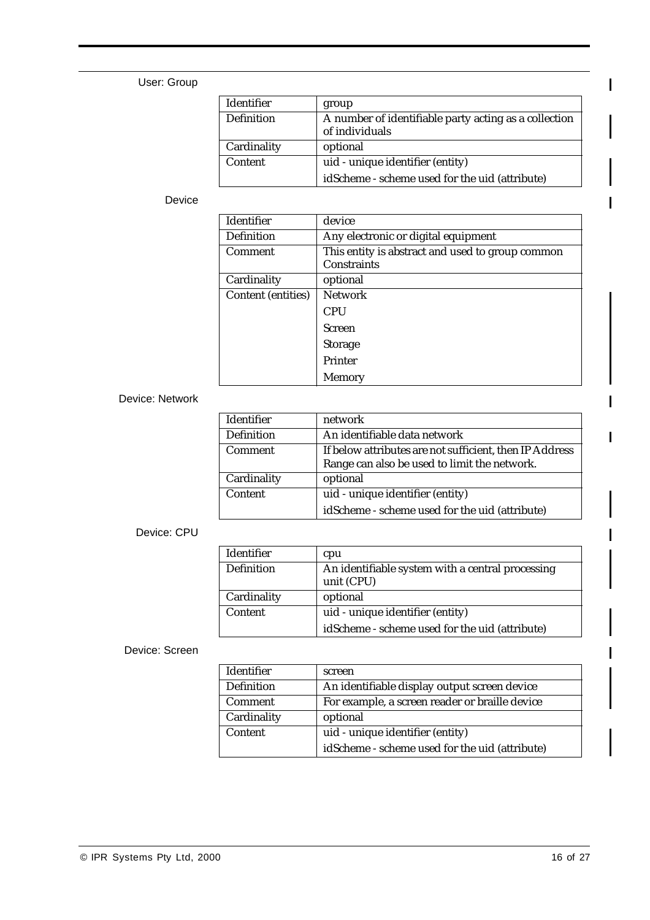## User: Group

| <b>Identifier</b> | group                                                                   |
|-------------------|-------------------------------------------------------------------------|
| <b>Definition</b> | A number of identifiable party acting as a collection<br>of individuals |
| Cardinality       | optional                                                                |
| Content           | uid - unique identifier (entity)                                        |
|                   | idScheme - scheme used for the uid (attribute)                          |

### Device

| <b>Identifier</b>         | device                                           |
|---------------------------|--------------------------------------------------|
| <b>Definition</b>         | Any electronic or digital equipment              |
| <b>Comment</b>            | This entity is abstract and used to group common |
|                           | <b>Constraints</b>                               |
| Cardinality               | optional                                         |
| <b>Content (entities)</b> | <b>Network</b>                                   |
|                           | <b>CPU</b>                                       |
|                           | <b>Screen</b>                                    |
|                           | <b>Storage</b>                                   |
|                           | <b>Printer</b>                                   |
|                           | <b>Memory</b>                                    |

#### Device: Network

| <b>Identifier</b> | network                                                 |
|-------------------|---------------------------------------------------------|
| <b>Definition</b> | An identifiable data network                            |
| <b>Comment</b>    | If below attributes are not sufficient, then IP Address |
|                   | Range can also be used to limit the network.            |
| Cardinality       | optional                                                |
| Content           | uid - unique identifier (entity)                        |
|                   | idScheme - scheme used for the uid (attribute)          |

### Device: CPU

| <b>Identifier</b> | cpu                                                            |
|-------------------|----------------------------------------------------------------|
| <b>Definition</b> | An identifiable system with a central processing<br>unit (CPU) |
| Cardinality       | optional                                                       |
| Content           | uid - unique identifier (entity)                               |
|                   | idScheme - scheme used for the uid (attribute)                 |

#### Device: Screen

| <b>Identifier</b> | screen                                         |
|-------------------|------------------------------------------------|
| <b>Definition</b> | An identifiable display output screen device   |
| <b>Comment</b>    | For example, a screen reader or braille device |
| Cardinality       | optional                                       |
| Content           | uid - unique identifier (entity)               |
|                   | idScheme - scheme used for the uid (attribute) |

Π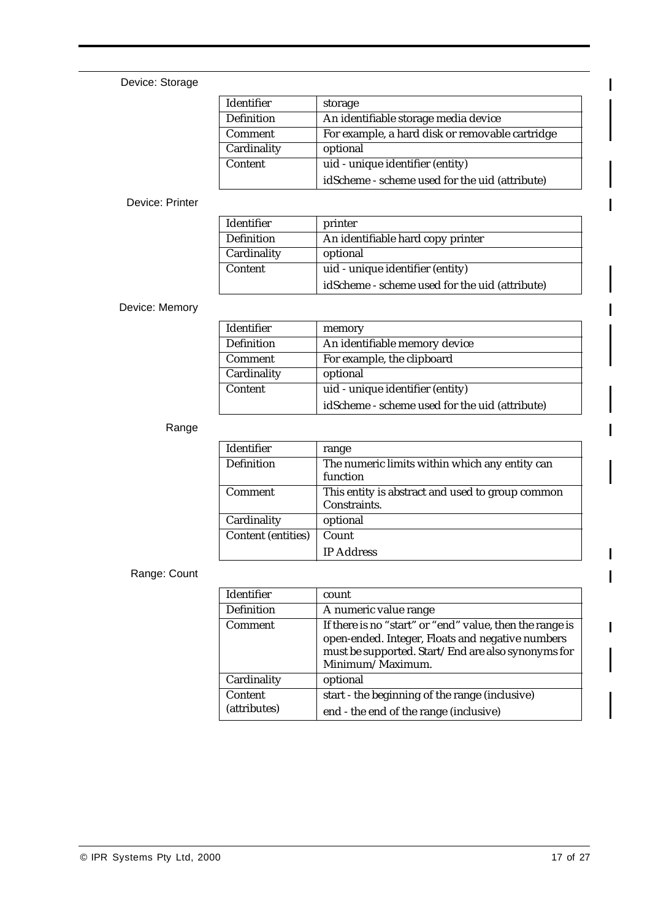## Device: Storage

| <b>Identifier</b> | storage                                         |
|-------------------|-------------------------------------------------|
| <b>Definition</b> | An identifiable storage media device            |
| <b>Comment</b>    | For example, a hard disk or removable cartridge |
| Cardinality       | optional                                        |
| <b>Content</b>    | uid - unique identifier (entity)                |
|                   | idScheme - scheme used for the uid (attribute)  |

### Device: Printer

| <b>Identifier</b> | printer                                        |
|-------------------|------------------------------------------------|
| <b>Definition</b> | An identifiable hard copy printer              |
| Cardinality       | optional                                       |
| Content           | uid - unique identifier (entity)               |
|                   | idScheme - scheme used for the uid (attribute) |

### Device: Memory

| Identifier        | memory                                         |
|-------------------|------------------------------------------------|
| <b>Definition</b> | An identifiable memory device                  |
| <b>Comment</b>    | For example, the clipboard                     |
| Cardinality       | optional                                       |
| Content           | uid - unique identifier (entity)               |
|                   | idScheme - scheme used for the uid (attribute) |

## Range

| <b>Identifier</b>         | range                                            |
|---------------------------|--------------------------------------------------|
| <b>Definition</b>         | The numeric limits within which any entity can   |
|                           | function                                         |
| <b>Comment</b>            | This entity is abstract and used to group common |
|                           | Constraints.                                     |
| Cardinality               | optional                                         |
| <b>Content (entities)</b> | Count                                            |
|                           | <b>IP Address</b>                                |

## Range: Count

| <b>Identifier</b> | count                                                                                                                                                                                  |
|-------------------|----------------------------------------------------------------------------------------------------------------------------------------------------------------------------------------|
| <b>Definition</b> | A numeric value range                                                                                                                                                                  |
| <b>Comment</b>    | If there is no "start" or "end" value, then the range is<br>open-ended. Integer, Floats and negative numbers<br>must be supported. Start/End are also synonyms for<br>Minimum/Maximum. |
| Cardinality       | optional                                                                                                                                                                               |
| Content           | start - the beginning of the range (inclusive)                                                                                                                                         |
| (attributes)      | end - the end of the range (inclusive)                                                                                                                                                 |

 $\blacksquare$ 

I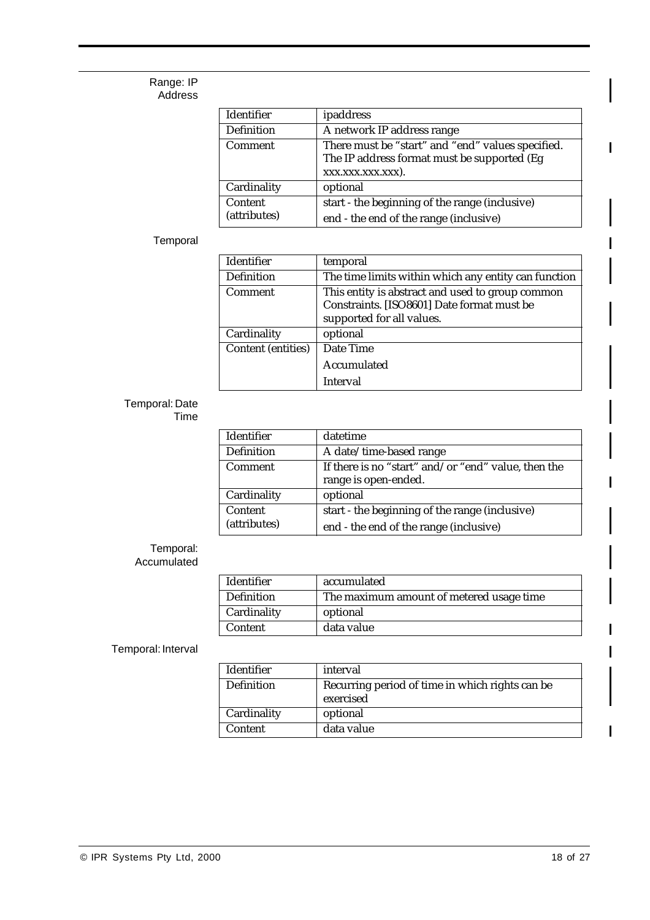#### Range: IP Address

| <b>Identifier</b>       | ipaddress                                                                                                             |
|-------------------------|-----------------------------------------------------------------------------------------------------------------------|
| <b>Definition</b>       | A network IP address range                                                                                            |
| <b>Comment</b>          | There must be "start" and "end" values specified.<br>The IP address format must be supported (Eg<br>XXX.XXX.XXX.XXX). |
| Cardinality             | optional                                                                                                              |
| Content<br>(attributes) | start - the beginning of the range (inclusive)<br>end - the end of the range (inclusive)                              |

### **Temporal**

| <b>Identifier</b>         | temporal                                             |
|---------------------------|------------------------------------------------------|
| <b>Definition</b>         | The time limits within which any entity can function |
| <b>Comment</b>            | This entity is abstract and used to group common     |
|                           | Constraints. [ISO8601] Date format must be           |
|                           | supported for all values.                            |
| Cardinality               | optional                                             |
| <b>Content (entities)</b> | Date Time                                            |
|                           | Accumulated                                          |
|                           | <b>Interval</b>                                      |

### Temporal: Date Time

| <b>Identifier</b> | datetime                                            |
|-------------------|-----------------------------------------------------|
| <b>Definition</b> | A date/time-based range                             |
| <b>Comment</b>    | If there is no "start" and/or "end" value, then the |
|                   | range is open-ended.                                |
| Cardinality       | optional                                            |
| Content           | start - the beginning of the range (inclusive)      |
| (attributes)      | end - the end of the range (inclusive)              |

### Temporal: Accumulated

| <b>Identifier</b> | accumulated                              |
|-------------------|------------------------------------------|
| <b>Definition</b> | The maximum amount of metered usage time |
| Cardinality       | optional                                 |
| Content           | data value                               |

## Temporal: Interval

| <b>Identifier</b> | interval                                        |
|-------------------|-------------------------------------------------|
| <b>Definition</b> | Recurring period of time in which rights can be |
|                   | exercised                                       |
| Cardinality       | optional                                        |
| Content           | data value                                      |

 $\blacksquare$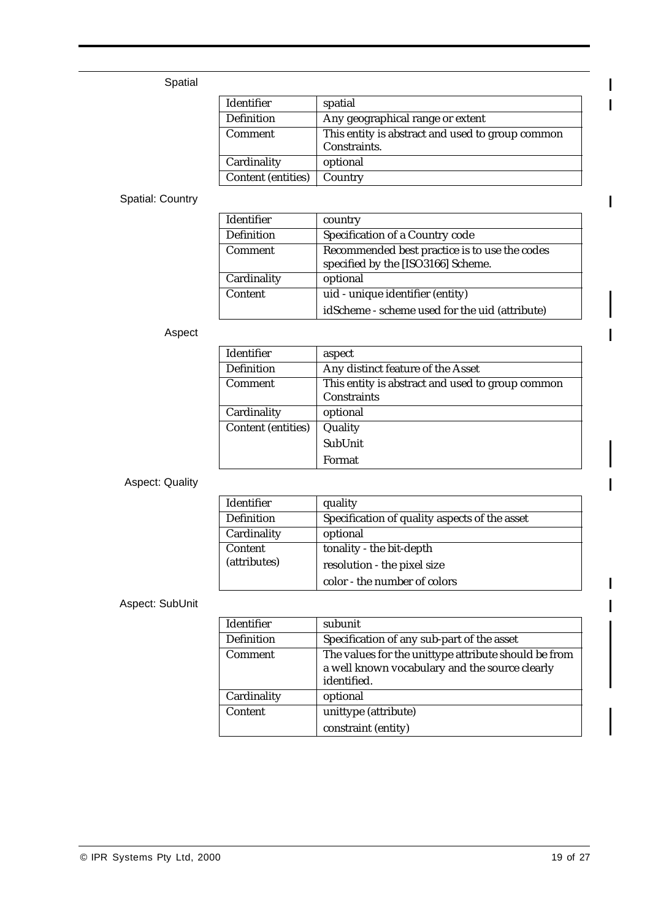## Spatial

| <b>Identifier</b>         | spatial                                                          |
|---------------------------|------------------------------------------------------------------|
| <b>Definition</b>         | Any geographical range or extent                                 |
| <b>Comment</b>            | This entity is abstract and used to group common<br>Constraints. |
| Cardinality               | optional                                                         |
| <b>Content (entities)</b> | Country                                                          |

## Spatial: Country

| <b>Identifier</b> | country                                                                             |
|-------------------|-------------------------------------------------------------------------------------|
| <b>Definition</b> | Specification of a Country code                                                     |
| <b>Comment</b>    | Recommended best practice is to use the codes<br>specified by the [ISO3166] Scheme. |
| Cardinality       | optional                                                                            |
| Content           | uid - unique identifier (entity)                                                    |
|                   | idScheme - scheme used for the uid (attribute)                                      |

### Aspect

| <b>Identifier</b>         | aspect                                           |
|---------------------------|--------------------------------------------------|
| <b>Definition</b>         | Any distinct feature of the Asset                |
| <b>Comment</b>            | This entity is abstract and used to group common |
|                           | <b>Constraints</b>                               |
| Cardinality               | optional                                         |
| <b>Content (entities)</b> | Quality                                          |
|                           | SubUnit                                          |
|                           | Format                                           |

## Aspect: Quality

| <b>Identifier</b> | quality                                       |
|-------------------|-----------------------------------------------|
| <b>Definition</b> | Specification of quality aspects of the asset |
| Cardinality       | optional                                      |
| Content           | tonality - the bit-depth                      |
| (attributes)      | resolution - the pixel size                   |
|                   | color - the number of colors                  |

## Aspect: SubUnit

| Identifier        | subunit                                                                                                               |
|-------------------|-----------------------------------------------------------------------------------------------------------------------|
| <b>Definition</b> | Specification of any sub-part of the asset                                                                            |
| <b>Comment</b>    | The values for the unittype attribute should be from<br>a well known vocabulary and the source clearly<br>identified. |
| Cardinality       | optional                                                                                                              |
| Content           | unittype (attribute)                                                                                                  |
|                   | constraint (entity)                                                                                                   |

 $\blacksquare$  $\overline{\mathbf{I}}$ 

 $\mathbf I$ 

 $\mathbf I$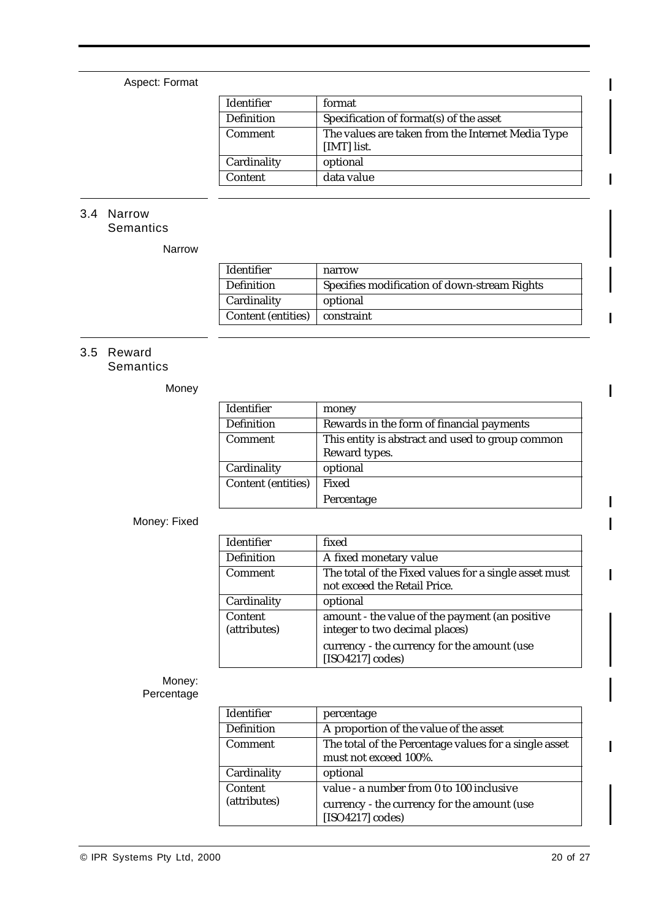## Aspect: Format

| <b>Identifier</b> | format                                                           |
|-------------------|------------------------------------------------------------------|
| <b>Definition</b> | Specification of format(s) of the asset                          |
| <b>Comment</b>    | The values are taken from the Internet Media Type<br>[IMT] list. |
| Cardinality       | optional                                                         |
| Content           | data value                                                       |

## 3.4 Narrow

**Semantics** 

Narrow

| <b>Identifier</b>         | narrow                                       |
|---------------------------|----------------------------------------------|
| <b>Definition</b>         | Specifies modification of down-stream Rights |
| Cardinality               | optional                                     |
| <b>Content (entities)</b> | constraint                                   |

# 3.5 Reward

**Semantics** 

Money

| Identifier                | money                                                             |
|---------------------------|-------------------------------------------------------------------|
| <b>Definition</b>         | Rewards in the form of financial payments                         |
| <b>Comment</b>            | This entity is abstract and used to group common<br>Reward types. |
| Cardinality               | optional                                                          |
| <b>Content (entities)</b> | Fixed                                                             |
|                           | Percentage                                                        |

## Money: Fixed

| Identifier              | fixed                                                                            |
|-------------------------|----------------------------------------------------------------------------------|
| <b>Definition</b>       | A fixed monetary value                                                           |
| <b>Comment</b>          | The total of the Fixed values for a single asset must                            |
|                         | not exceed the Retail Price.                                                     |
| Cardinality             | optional                                                                         |
| Content<br>(attributes) | amount - the value of the payment (an positive<br>integer to two decimal places) |
|                         | currency - the currency for the amount (use<br>[ISO4217] codes]                  |

## Money:

**Percentage** 

| <b>Identifier</b>       | percentage                                                                                                  |
|-------------------------|-------------------------------------------------------------------------------------------------------------|
| <b>Definition</b>       | A proportion of the value of the asset                                                                      |
| <b>Comment</b>          | The total of the Percentage values for a single asset<br>must not exceed 100%.                              |
| Cardinality             | optional                                                                                                    |
| Content<br>(attributes) | value - a number from 0 to 100 inclusive<br>currency - the currency for the amount (use<br>[ISO4217] codes] |

 $\mathbf{I}$ 

 $\blacksquare$ 

Ī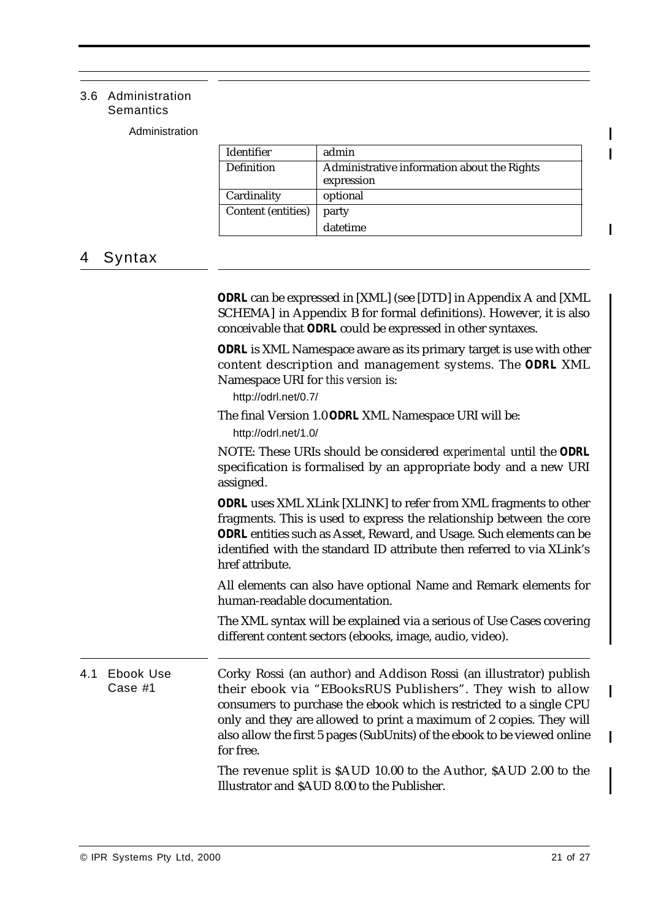## 3.6 Administration **Semantics**

Administration

| <b>Identifier</b>         | admin                                                     |
|---------------------------|-----------------------------------------------------------|
| <b>Definition</b>         | Administrative information about the Rights<br>expression |
| Cardinality               | optional                                                  |
| <b>Content (entities)</b> | party                                                     |
|                           | datetime                                                  |

# 4 Syntax

|     |                      | ODRL can be expressed in [XML] (see [DTD] in Appendix A and [XML<br>SCHEMA] in Appendix B for formal definitions). However, it is also<br>conceivable that ODRL could be expressed in other syntaxes.                                                                                                                                                                   |
|-----|----------------------|-------------------------------------------------------------------------------------------------------------------------------------------------------------------------------------------------------------------------------------------------------------------------------------------------------------------------------------------------------------------------|
|     |                      | <b>ODRL</b> is XML Namespace aware as its primary target is use with other<br>content description and management systems. The ODRL XML<br>Namespace URI for this version is:<br>http://odrl.net/0.7/                                                                                                                                                                    |
|     |                      | The final Version 1.0 ODRL XML Namespace URI will be:<br>http://odrl.net/1.0/                                                                                                                                                                                                                                                                                           |
|     |                      | NOTE: These URIs should be considered experimental until the ODRL<br>specification is formalised by an appropriate body and a new URI<br>assigned.                                                                                                                                                                                                                      |
|     |                      | ODRL uses XML XLink [XLINK] to refer from XML fragments to other<br>fragments. This is used to express the relationship between the core<br>ODRL entities such as Asset, Reward, and Usage. Such elements can be<br>identified with the standard ID attribute then referred to via XLink's<br>href attribute.                                                           |
|     |                      | All elements can also have optional Name and Remark elements for<br>human-readable documentation.                                                                                                                                                                                                                                                                       |
|     |                      | The XML syntax will be explained via a serious of Use Cases covering<br>different content sectors (ebooks, image, audio, video).                                                                                                                                                                                                                                        |
| 4.1 | Ebook Use<br>Case #1 | Corky Rossi (an author) and Addison Rossi (an illustrator) publish<br>their ebook via "EBooksRUS Publishers". They wish to allow<br>consumers to purchase the ebook which is restricted to a single CPU<br>only and they are allowed to print a maximum of 2 copies. They will<br>also allow the first 5 pages (SubUnits) of the ebook to be viewed online<br>for free. |
|     |                      | The revenue split is \$AUD 10.00 to the Author, \$AUD 2.00 to the<br>Illustrator and \$AUD 8.00 to the Publisher.                                                                                                                                                                                                                                                       |

 $\mathbf I$ Ī

 $\blacksquare$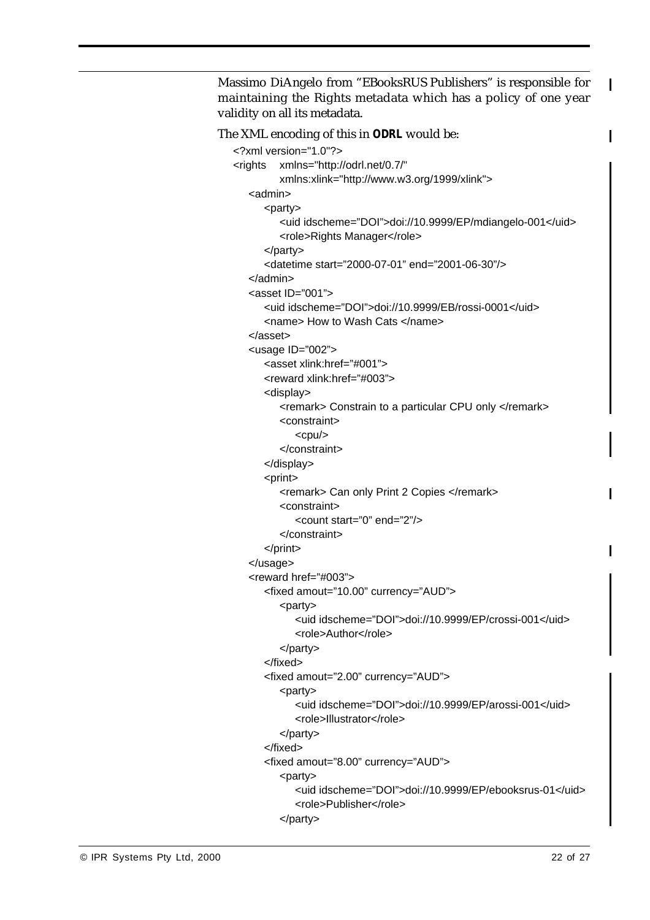Massimo DiAngelo from "EBooksRUS Publishers" is responsible for maintaining the Rights metadata which has a policy of one year validity on all its metadata.

The XML encoding of this in *ODRL* would be:

```
<?xml version="1.0"?>
<rights xmlns="http://odrl.net/0.7/"
         xmlns:xlink="http://www.w3.org/1999/xlink">
   <admin>
      <party>
         <uid idscheme="DOI">doi://10.9999/EP/mdiangelo-001</uid>
         <role>Rights Manager</role>
      </party>
      <datetime start="2000-07-01" end="2001-06-30"/>
   </admin>
   <asset ID="001">
      <uid idscheme="DOI">doi://10.9999/EB/rossi-0001</uid>
      <name> How to Wash Cats </name>
   </asset>
   <usage ID="002">
      <asset xlink:href="#001">
      <reward xlink:href="#003">
      <display>
         <remark> Constrain to a particular CPU only </remark>
         <constraint>
            <cpu/>
         </constraint>
      </display>
      <print>
         <remark> Can only Print 2 Copies </remark>
         <constraint>
            <count start="0" end="2"/>
         </constraint>
      </print>
   </usage>
   <reward href="#003">
      <fixed amout="10.00" currency="AUD">
         <party>
            <uid idscheme="DOI">doi://10.9999/EP/crossi-001</uid>
            <role>Author</role>
         </party>
      </fixed>
      <fixed amout="2.00" currency="AUD">
         <party>
            <uid idscheme="DOI">doi://10.9999/EP/arossi-001</uid>
            <role>Illustrator</role>
         </party>
      </fixed>
      <fixed amout="8.00" currency="AUD">
         <party>
            <uid idscheme="DOI">doi://10.9999/EP/ebooksrus-01</uid>
            <role>Publisher</role>
         </party>
```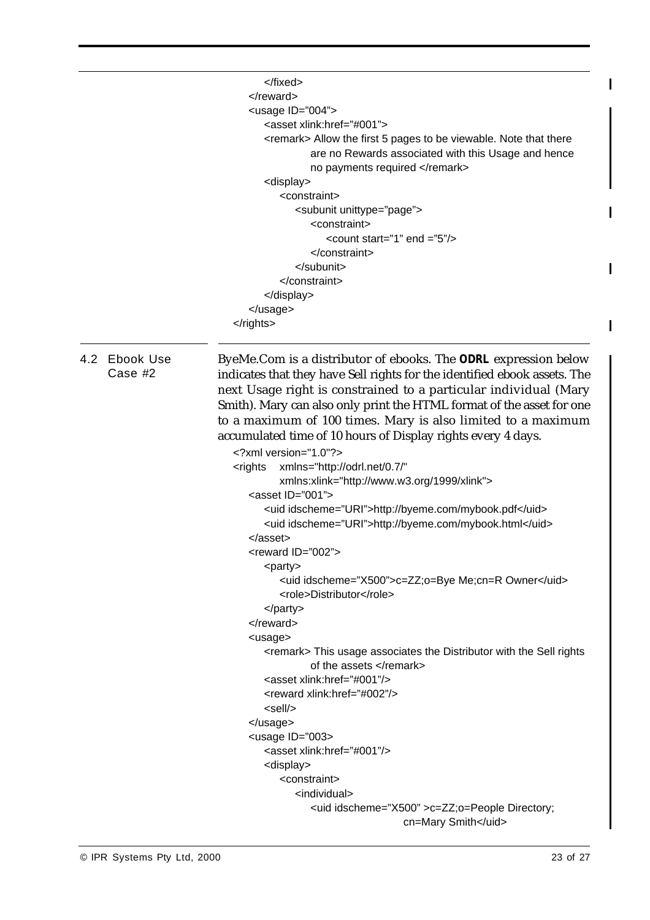|         | <usage id="004"></usage>                                                                                                                                                                                                                                                                                                                                                                                                                                                                                                                                                                                                                                                                                                   |
|---------|----------------------------------------------------------------------------------------------------------------------------------------------------------------------------------------------------------------------------------------------------------------------------------------------------------------------------------------------------------------------------------------------------------------------------------------------------------------------------------------------------------------------------------------------------------------------------------------------------------------------------------------------------------------------------------------------------------------------------|
|         | <asset xlink:href="#001"></asset>                                                                                                                                                                                                                                                                                                                                                                                                                                                                                                                                                                                                                                                                                          |
|         | <remark> Allow the first 5 pages to be viewable. Note that there</remark>                                                                                                                                                                                                                                                                                                                                                                                                                                                                                                                                                                                                                                                  |
|         | are no Rewards associated with this Usage and hence                                                                                                                                                                                                                                                                                                                                                                                                                                                                                                                                                                                                                                                                        |
|         | no payments required                                                                                                                                                                                                                                                                                                                                                                                                                                                                                                                                                                                                                                                                                                       |
|         | <display></display>                                                                                                                                                                                                                                                                                                                                                                                                                                                                                                                                                                                                                                                                                                        |
|         | <constraint></constraint>                                                                                                                                                                                                                                                                                                                                                                                                                                                                                                                                                                                                                                                                                                  |
|         | <subunit unittype="page"></subunit>                                                                                                                                                                                                                                                                                                                                                                                                                                                                                                                                                                                                                                                                                        |
|         | <constraint></constraint>                                                                                                                                                                                                                                                                                                                                                                                                                                                                                                                                                                                                                                                                                                  |
|         | <count end="5" start="1"></count>                                                                                                                                                                                                                                                                                                                                                                                                                                                                                                                                                                                                                                                                                          |
|         |                                                                                                                                                                                                                                                                                                                                                                                                                                                                                                                                                                                                                                                                                                                            |
|         |                                                                                                                                                                                                                                                                                                                                                                                                                                                                                                                                                                                                                                                                                                                            |
|         |                                                                                                                                                                                                                                                                                                                                                                                                                                                                                                                                                                                                                                                                                                                            |
|         |                                                                                                                                                                                                                                                                                                                                                                                                                                                                                                                                                                                                                                                                                                                            |
|         | $<$ /usage>                                                                                                                                                                                                                                                                                                                                                                                                                                                                                                                                                                                                                                                                                                                |
|         |                                                                                                                                                                                                                                                                                                                                                                                                                                                                                                                                                                                                                                                                                                                            |
| Case #2 | indicates that they have Sell rights for the identified ebook assets. The<br>next Usage right is constrained to a particular individual (Mary<br>Smith). Mary can also only print the HTML format of the asset for one<br>to a maximum of 100 times. Mary is also limited to a maximum<br>accumulated time of 10 hours of Display rights every 4 days.<br>xml version="1.0"?<br>xmlns="http://odrl.net/0.7/"<br><rights<br>xmlns:xlink="http://www.w3.org/1999/xlink"&gt;<br/><asset id="001"><br/><uid idscheme="URI">http://byeme.com/mybook.pdf</uid><br/><uid idscheme="URI">http://byeme.com/mybook.html</uid><br/><math>&lt;</math>/asset&gt;<br/><reward id="002"><br/><party></party></reward></asset></rights<br> |
|         | <uid idscheme="X500">c=ZZ;o=Bye Me;cn=R Owner</uid>                                                                                                                                                                                                                                                                                                                                                                                                                                                                                                                                                                                                                                                                        |
|         | <role>Distributor</role>                                                                                                                                                                                                                                                                                                                                                                                                                                                                                                                                                                                                                                                                                                   |
|         | $<$ /party>                                                                                                                                                                                                                                                                                                                                                                                                                                                                                                                                                                                                                                                                                                                |
|         | $\alpha$ /reward>                                                                                                                                                                                                                                                                                                                                                                                                                                                                                                                                                                                                                                                                                                          |
|         | <usage></usage>                                                                                                                                                                                                                                                                                                                                                                                                                                                                                                                                                                                                                                                                                                            |
|         | <remark> This usage associates the Distributor with the Sell rights</remark>                                                                                                                                                                                                                                                                                                                                                                                                                                                                                                                                                                                                                                               |
|         | of the assets                                                                                                                                                                                                                                                                                                                                                                                                                                                                                                                                                                                                                                                                                                              |
|         | <asset xlink:href="#001"></asset>                                                                                                                                                                                                                                                                                                                                                                                                                                                                                                                                                                                                                                                                                          |
|         | <reward xlink:href="#002"></reward>                                                                                                                                                                                                                                                                                                                                                                                                                                                                                                                                                                                                                                                                                        |
|         | <sell></sell>                                                                                                                                                                                                                                                                                                                                                                                                                                                                                                                                                                                                                                                                                                              |
|         | $<$ /usage>                                                                                                                                                                                                                                                                                                                                                                                                                                                                                                                                                                                                                                                                                                                |
|         | <usage #001"="" id="003&gt;&lt;/td&gt;&lt;/tr&gt;&lt;tr&gt;&lt;td&gt;&lt;/td&gt;&lt;td&gt;&lt;asset xlink:href="></usage>                                                                                                                                                                                                                                                                                                                                                                                                                                                                                                                                                                                                  |
|         | <display></display>                                                                                                                                                                                                                                                                                                                                                                                                                                                                                                                                                                                                                                                                                                        |
|         | <constraint></constraint>                                                                                                                                                                                                                                                                                                                                                                                                                                                                                                                                                                                                                                                                                                  |
|         | <individual></individual>                                                                                                                                                                                                                                                                                                                                                                                                                                                                                                                                                                                                                                                                                                  |
|         | <uid idscheme="X500">c=ZZ;o=People Directory;</uid>                                                                                                                                                                                                                                                                                                                                                                                                                                                                                                                                                                                                                                                                        |
|         | cn=Mary Smith                                                                                                                                                                                                                                                                                                                                                                                                                                                                                                                                                                                                                                                                                                              |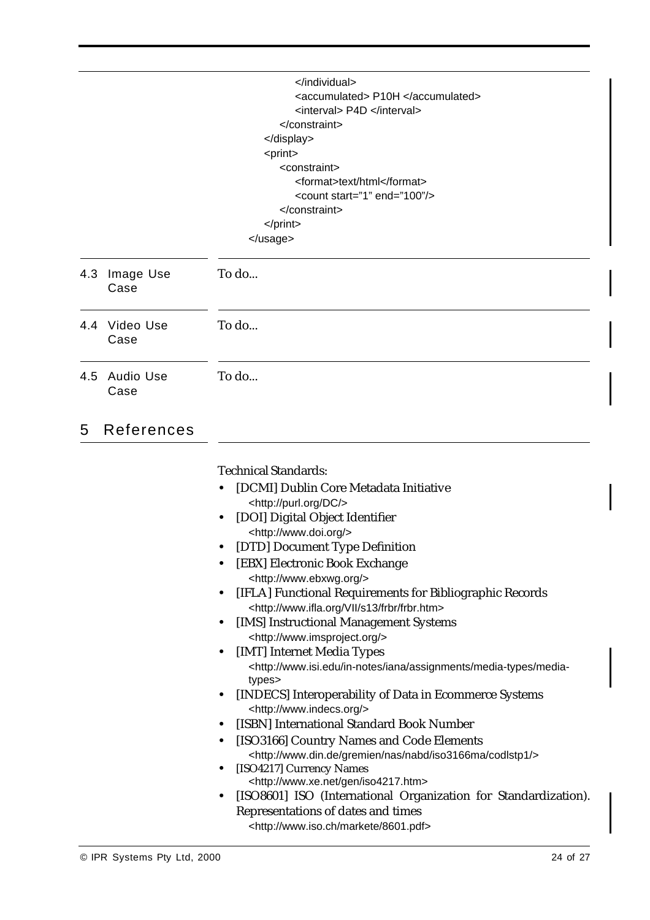|     |                          | <br><accumulated> P10H </accumulated><br><interval> P4D </interval><br><br><br><print><br/><constraint><br/><format>text/html</format><br/><count end="100" start="1"></count><br/></constraint><br/></print><br>                                                                                                                                                                                                                                                                                                                                                                                                                                                                                                                                                                                                                                                                                                                                                                                                                                                                                  |
|-----|--------------------------|----------------------------------------------------------------------------------------------------------------------------------------------------------------------------------------------------------------------------------------------------------------------------------------------------------------------------------------------------------------------------------------------------------------------------------------------------------------------------------------------------------------------------------------------------------------------------------------------------------------------------------------------------------------------------------------------------------------------------------------------------------------------------------------------------------------------------------------------------------------------------------------------------------------------------------------------------------------------------------------------------------------------------------------------------------------------------------------------------|
| 4.3 | Image Use<br>Case        | To do                                                                                                                                                                                                                                                                                                                                                                                                                                                                                                                                                                                                                                                                                                                                                                                                                                                                                                                                                                                                                                                                                              |
|     | 4.4 Video Use<br>Case    | To do                                                                                                                                                                                                                                                                                                                                                                                                                                                                                                                                                                                                                                                                                                                                                                                                                                                                                                                                                                                                                                                                                              |
| 4.5 | <b>Audio Use</b><br>Case | To do                                                                                                                                                                                                                                                                                                                                                                                                                                                                                                                                                                                                                                                                                                                                                                                                                                                                                                                                                                                                                                                                                              |
| 5   | References               | <b>Technical Standards:</b><br>[DCMI] Dublin Core Metadata Initiative<br><http: dc="" purl.org=""></http:><br>[DOI] Digital Object Identifier<br><http: www.doi.org=""></http:><br>[DTD] Document Type Definition<br>[EBX] Electronic Book Exchange<br><http: www.ebxwg.org=""></http:><br>[IFLA] Functional Requirements for Bibliographic Records<br><http: frbr="" frbr.htm="" s13="" vii="" www.ifla.org=""><br/>[IMS] Instructional Management Systems<br/><http: www.imsproject.org=""></http:><br/>[IMT] Internet Media Types<br/><http: assignments="" iana="" in-notes="" media-<br="" media-types="" www.isi.edu="">types&gt;<br/>[INDECS] Interoperability of Data in Ecommerce Systems<br/><http: www.indecs.org=""></http:><br/>[ISBN] International Standard Book Number<br/>[ISO3166] Country Names and Code Elements<br/><http: codlstp1="" gremien="" iso3166ma="" nabd="" nas="" www.din.de=""></http:><br/>[ISO4217] Currency Names<br/><http: gen="" iso4217.htm="" www.xe.net=""><br/>[ISO8601] ISO (International Organization for Standardization).</http:></http:></http:> |
|     |                          | Representations of dates and times<br><http: 8601.pdf="" markete="" www.iso.ch=""></http:>                                                                                                                                                                                                                                                                                                                                                                                                                                                                                                                                                                                                                                                                                                                                                                                                                                                                                                                                                                                                         |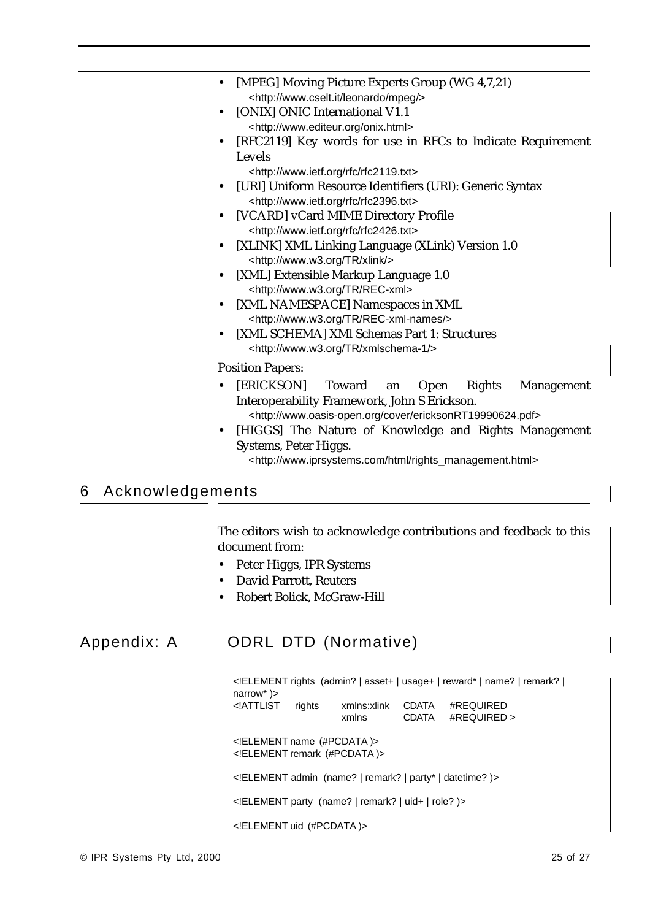- **•** [MPEG] Moving Picture Experts Group (WG 4,7,21) <http://www.cselt.it/leonardo/mpeg/>
- **•** [ONIX] ONIC International V1.1 <http://www.editeur.org/onix.html>
- **•** [RFC2119] Key words for use in RFCs to Indicate Requirement Levels

<http://www.ietf.org/rfc/rfc2119.txt>

- **•** [URI] Uniform Resource Identifiers (URI): Generic Syntax <http://www.ietf.org/rfc/rfc2396.txt>
- **•** [VCARD] vCard MIME Directory Profile <http://www.ietf.org/rfc/rfc2426.txt>
- **•** [XLINK] XML Linking Language (XLink) Version 1.0 <http://www.w3.org/TR/xlink/>
- **•** [XML] Extensible Markup Language 1.0 <http://www.w3.org/TR/REC-xml>
- **•** [XML NAMESPACE] Namespaces in XML <http://www.w3.org/TR/REC-xml-names/>
- **•** [XML SCHEMA] XMl Schemas Part 1: Structures <http://www.w3.org/TR/xmlschema-1/>

Position Papers:

- **•** [ERICKSON] Toward an Open Rights Management Interoperability Framework, John S Erickson.
	- <http://www.oasis-open.org/cover/ericksonRT19990624.pdf>
- **•** [HIGGS] The Nature of Knowledge and Rights Management Systems, Peter Higgs.

<http://www.iprsystems.com/html/rights\_management.html>

## 6 Acknowledgements

The editors wish to acknowledge contributions and feedback to this document from:

- **•** Peter Higgs, IPR Systems
- **•** David Parrott, Reuters
- **•** Robert Bolick, McGraw-Hill

## Appendix: A ODRL DTD (Normative)

<!ELEMENT rights (admin? | asset+ | usage+ | reward\* | name? | remark? | narrow\* )> <!ATTLIST rights xmlns:xlink CDATA #REQUIRED xmlns CDATA #REQUIRED > <!ELEMENT name (#PCDATA )> <!ELEMENT remark (#PCDATA )> <!ELEMENT admin (name? | remark? | party\* | datetime? )> <!ELEMENT party (name? | remark? | uid+ | role? )> <!ELEMENT uid (#PCDATA )>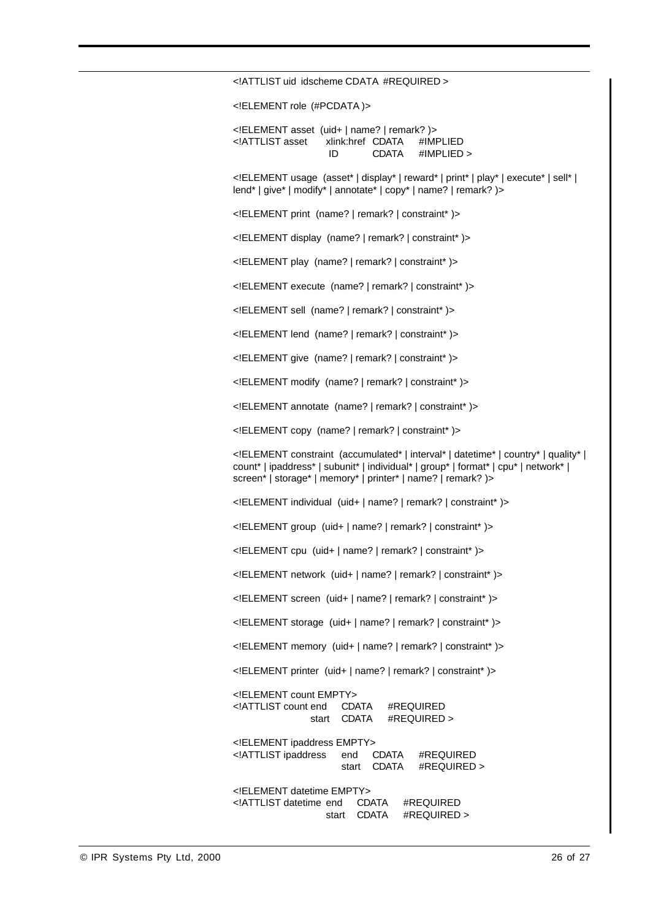<!ATTLIST uid idscheme CDATA #REQUIRED > <!ELEMENT role (#PCDATA )> <!ELEMENT asset (uid+ | name? | remark? )> <!ATTLIST asset xlink:href CDATA #IMPLIED ID CDATA #IMPLIED > <!ELEMENT usage (asset\* | display\* | reward\* | print\* | play\* | execute\* | sell\* | lend\* | give\* | modify\* | annotate\* | copy\* | name? | remark? )> <!ELEMENT print (name? | remark? | constraint\* )> <!ELEMENT display (name? | remark? | constraint\* )> <!ELEMENT play (name? | remark? | constraint\* )> <!ELEMENT execute (name? | remark? | constraint\* )> <!ELEMENT sell (name? | remark? | constraint\* )> <!ELEMENT lend (name? | remark? | constraint\* )> <!ELEMENT give (name? | remark? | constraint\* )> <!ELEMENT modify (name? | remark? | constraint\* )> <!ELEMENT annotate (name? | remark? | constraint\* )> <!ELEMENT copy (name? | remark? | constraint\* )> <!ELEMENT constraint (accumulated\* | interval\* | datetime\* | country\* | quality\* | count\* | ipaddress\* | subunit\* | individual\* | group\* | format\* | cpu\* | network\* | screen\* | storage\* | memory\* | printer\* | name? | remark? )> <!ELEMENT individual (uid+ | name? | remark? | constraint\* )> <!ELEMENT group (uid+ | name? | remark? | constraint\* )> <!ELEMENT cpu (uid+ | name? | remark? | constraint\* )> <!ELEMENT network (uid+ | name? | remark? | constraint\* )> <!ELEMENT screen (uid+ | name? | remark? | constraint\* )> <!ELEMENT storage (uid+ | name? | remark? | constraint\* )> <!ELEMENT memory (uid+ | name? | remark? | constraint\* )> <!ELEMENT printer (uid+ | name? | remark? | constraint\* )> <!ELEMENT count EMPTY> <!ATTLIST count end CDATA #REQUIRED start CDATA #REQUIRED > <!ELEMENT ipaddress EMPTY> <!ATTLIST ipaddress end CDATA #REQUIRED start CDATA #REQUIRED > <!ELEMENT datetime EMPTY> <!ATTLIST datetime end CDATA #REQUIRED start CDATA #REQUIRED >